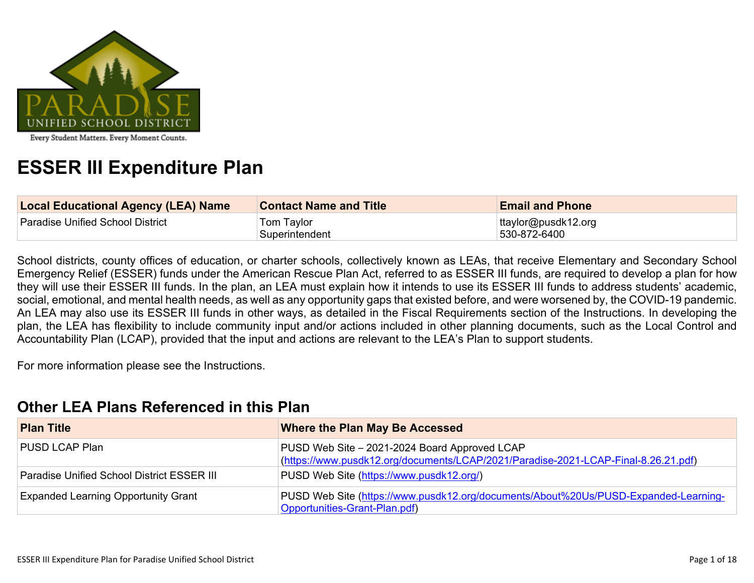

# **ESSER III Expenditure Plan**

| <b>Local Educational Agency (LEA) Name</b> | <b>Contact Name and Title</b> | <b>Email and Phone</b>              |
|--------------------------------------------|-------------------------------|-------------------------------------|
| Paradise Unified School District           | Tom Taylor<br>Superintendent  | ttaylor@pusdk12.org<br>530-872-6400 |

School districts, county offices of education, or charter schools, collectively known as LEAs, that receive Elementary and Secondary School Emergency Relief (ESSER) funds under the American Rescue Plan Act, referred to as ESSER III funds, are required to develop a plan for how they will use their ESSER III funds. In the plan, an LEA must explain how it intends to use its ESSER III funds to address students' academic, social, emotional, and mental health needs, as well as any opportunity gaps that existed before, and were worsened by, the COVID-19 pandemic. An LEA may also use its ESSER III funds in other ways, as detailed in the Fiscal Requirements section of the Instructions. In developing the plan, the LEA has flexibility to include community input and/or actions included in other planning documents, such as the Local Control and Accountability Plan (LCAP), provided that the input and actions are relevant to the LEA's Plan to support students.

For more information please see the Instructions.

### **Other LEA Plans [Referenced](#page-12-0) in this Plan**

| <b>Plan Title</b>                                 | <b>Where the Plan May Be Accessed</b>                                                                                               |
|---------------------------------------------------|-------------------------------------------------------------------------------------------------------------------------------------|
| PUSD LCAP Plan                                    | PUSD Web Site - 2021-2024 Board Approved LCAP<br>(https://www.pusdk12.org/documents/LCAP/2021/Paradise-2021-LCAP-Final-8.26.21.pdf) |
| <b>Paradise Unified School District ESSER III</b> | PUSD Web Site (https://www.pusdk12.org/)                                                                                            |
| <b>Expanded Learning Opportunity Grant</b>        | PUSD Web Site (https://www.pusdk12.org/documents/About%20Us/PUSD-Expanded-Learning-<br>Opportunities-Grant-Plan.pdf)                |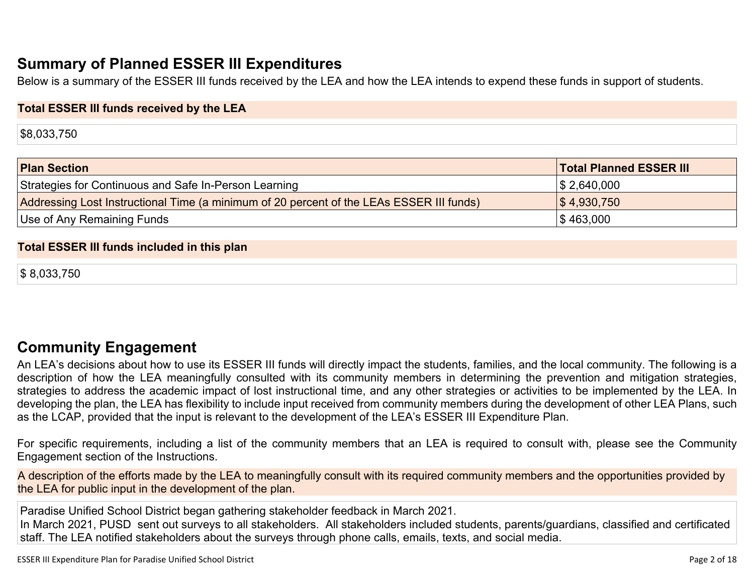## **Summary of Planned ESSER III [Expenditures](#page-12-1)**

Below is a summary of the ESSER III funds received by the LEA and how the LEA intends to expend these funds in support of students.

#### **Total ESSER III funds received by the LEA**

\$8,033,750

| <b>Plan Section</b>                                                                      | <b>Total Planned ESSER III</b> |
|------------------------------------------------------------------------------------------|--------------------------------|
| Strategies for Continuous and Safe In-Person Learning                                    | $\frac{1}{2}$ ,640,000         |
| Addressing Lost Instructional Time (a minimum of 20 percent of the LEAs ESSER III funds) | $\frac{1}{3}$ 4,930,750        |
| Use of Any Remaining Funds                                                               | $\frac{1}{3}$ 463,000          |

#### **Total ESSER III funds included in this plan**

\$ 8,033,750

### **Community [Engagement](#page-13-0)**

An LEA's decisions about how to use its ESSER III funds will directly impact the students, families, and the local community. The following is a description of how the LEA meaningfully consulted with its community members in determining the prevention and mitigation strategies, strategies to address the academic impact of lost instructional time, and any other strategies or activities to be implemented by the LEA. In developing the plan, the LEA has flexibility to include input received from community members during the development of other LEA Plans, such as the LCAP, provided that the input is relevant to the development of the LEA's ESSER III Expenditure Plan.

For specific requirements, including a list of the community members that an LEA is required to consult with, please see the Community Engagement section of the Instructions.

A description of the efforts made by the LEA to meaningfully consult with its required community members and the opportunities provided by the LEA for public input in the development of the plan.

Paradise Unified School District began gathering stakeholder feedback in March 2021. In March 2021, PUSD sent out surveys to all stakeholders. All stakeholders included students, parents/guardians, classified and certificated staff. The LEA notified stakeholders about the surveys through phone calls, emails, texts, and social media.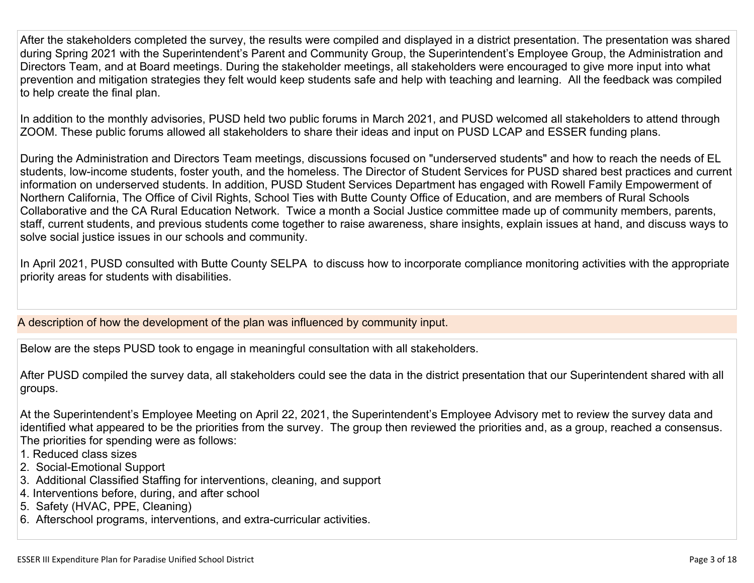After the stakeholders completed the survey, the results were compiled and displayed in a district presentation. The presentation was shared during Spring 2021 with the Superintendent's Parent and Community Group, the Superintendent's Employee Group, the Administration and Directors Team, and at Board meetings. During the stakeholder meetings, all stakeholders were encouraged to give more input into what prevention and mitigation strategies they felt would keep students safe and help with teaching and learning. All the feedback was compiled to help create the final plan.

In addition to the monthly advisories, PUSD held two public forums in March 2021, and PUSD welcomed all stakeholders to attend through ZOOM. These public forums allowed all stakeholders to share their ideas and input on PUSD LCAP and ESSER funding plans.

During the Administration and Directors Team meetings, discussions focused on "underserved students" and how to reach the needs of EL students, low-income students, foster youth, and the homeless. The Director of Student Services for PUSD shared best practices and current information on underserved students. In addition, PUSD Student Services Department has engaged with Rowell Family Empowerment of Northern California, The Office of Civil Rights, School Ties with Butte County Office of Education, and are members of Rural Schools Collaborative and the CA Rural Education Network. Twice a month a Social Justice committee made up of community members, parents, staff, current students, and previous students come together to raise awareness, share insights, explain issues at hand, and discuss ways to solve social justice issues in our schools and community.

In April 2021, PUSD consulted with Butte County SELPA to discuss how to incorporate compliance monitoring activities with the appropriate priority areas for students with disabilities.

A description of how the development of the plan was influenced by community input.

Below are the steps PUSD took to engage in meaningful consultation with all stakeholders.

After PUSD compiled the survey data, all stakeholders could see the data in the district presentation that our Superintendent shared with all groups.

At the Superintendent's Employee Meeting on April 22, 2021, the Superintendent's Employee Advisory met to review the survey data and identified what appeared to be the priorities from the survey. The group then reviewed the priorities and, as a group, reached a consensus. The priorities for spending were as follows:

- 1. Reduced class sizes
- 2. Social-Emotional Support
- 3. Additional Classified Staffing for interventions, cleaning, and support
- 4. Interventions before, during, and after school
- 5. Safety (HVAC, PPE, Cleaning)
- 6. Afterschool programs, interventions, and extra-curricular activities.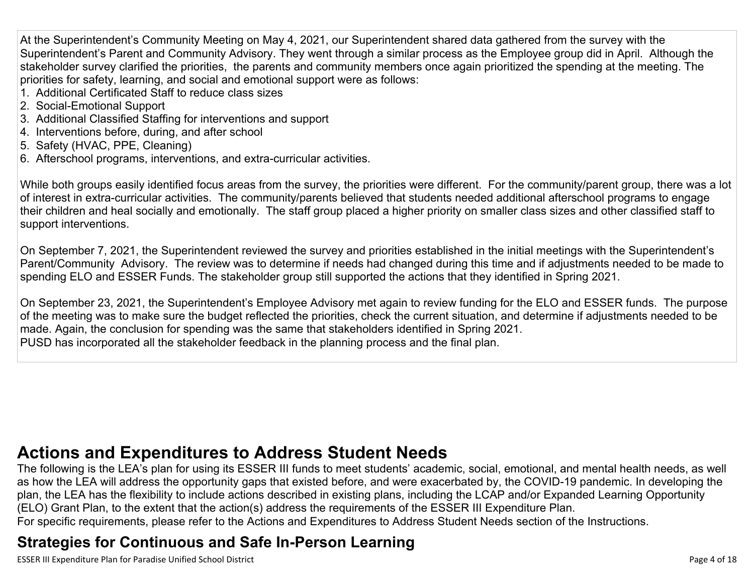At the Superintendent's Community Meeting on May 4, 2021, our Superintendent shared data gathered from the survey with the Superintendent's Parent and Community Advisory. They went through a similar process as the Employee group did in April. Although the stakeholder survey clarified the priorities, the parents and community members once again prioritized the spending at the meeting. The priorities for safety, learning, and social and emotional support were as follows:

- 1. Additional Certificated Staff to reduce class sizes
- 2. Social-Emotional Support
- 3. Additional Classified Staffing for interventions and support
- 4. Interventions before, during, and after school
- 5. Safety (HVAC, PPE, Cleaning)
- 6. Afterschool programs, interventions, and extra-curricular activities.

While both groups easily identified focus areas from the survey, the priorities were different. For the community/parent group, there was a lot of interest in extra-curricular activities. The community/parents believed that students needed additional afterschool programs to engage their children and heal socially and emotionally. The staff group placed a higher priority on smaller class sizes and other classified staff to support interventions.

On September 7, 2021, the Superintendent reviewed the survey and priorities established in the initial meetings with the Superintendent's Parent/Community Advisory. The review was to determine if needs had changed during this time and if adjustments needed to be made to spending ELO and ESSER Funds. The stakeholder group still supported the actions that they identified in Spring 2021.

On September 23, 2021, the Superintendent's Employee Advisory met again to review funding for the ELO and ESSER funds. The purpose of the meeting was to make sure the budget reflected the priorities, check the current situation, and determine if adjustments needed to be made. Again, the conclusion for spending was the same that stakeholders identified in Spring 2021. PUSD has incorporated all the stakeholder feedback in the planning process and the final plan.

## **Actions and [Expenditures](#page-15-0) to Address Student Needs**

The following is the LEA's plan for using its ESSER III funds to meet students' academic, social, emotional, and mental health needs, as well as how the LEA will address the opportunity gaps that existed before, and were exacerbated by, the COVID-19 pandemic. In developing the plan, the LEA has the flexibility to include actions described in existing plans, including the LCAP and/or Expanded Learning Opportunity (ELO) Grant Plan, to the extent that the action(s) address the requirements of the ESSER III Expenditure Plan.

### For specific requirements, please refer to the Actions and Expenditures to Address Student Needs section of the Instructions.

## **Strategies for [Continuous](#page-15-1) and Safe In-Person Learning**

ESSER III Expenditure Plan for Paradise Unified School District **Page 1 of 18** and the state of 18 and the state of 18 and the state of 18 and the state of 18 and the state of 18 and the state of 18 and the state of 18 and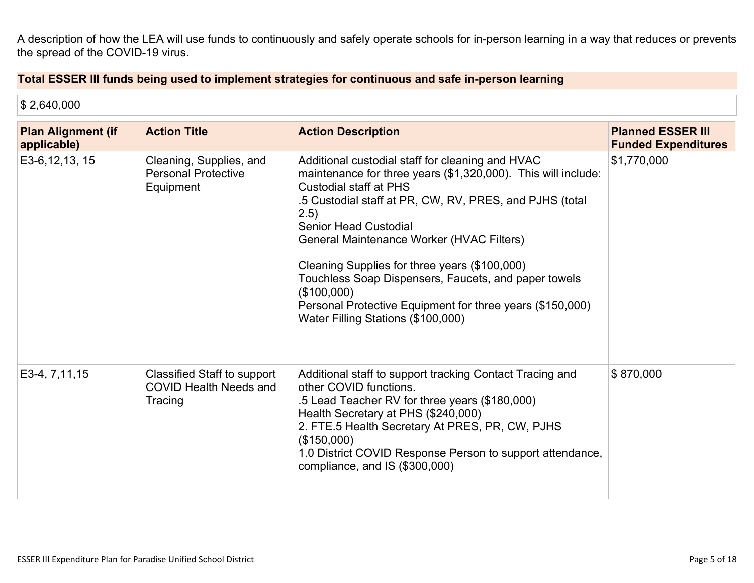A description of how the LEA will use funds to continuously and safely operate schools for in-person learning in a way that reduces or prevents the spread of the COVID-19 virus.

### **Total ESSER III funds being used to implement strategies for continuous and safe in-person learning**

| \$2,640,000                              |                                                                                |                                                                                                                                                                                                                                                                                                                                                                                                                                                                                                                               |                                                        |
|------------------------------------------|--------------------------------------------------------------------------------|-------------------------------------------------------------------------------------------------------------------------------------------------------------------------------------------------------------------------------------------------------------------------------------------------------------------------------------------------------------------------------------------------------------------------------------------------------------------------------------------------------------------------------|--------------------------------------------------------|
| <b>Plan Alignment (if</b><br>applicable) | <b>Action Title</b>                                                            | <b>Action Description</b>                                                                                                                                                                                                                                                                                                                                                                                                                                                                                                     | <b>Planned ESSER III</b><br><b>Funded Expenditures</b> |
| E3-6, 12, 13, 15                         | Cleaning, Supplies, and<br><b>Personal Protective</b><br>Equipment             | Additional custodial staff for cleaning and HVAC<br>maintenance for three years (\$1,320,000). This will include:<br><b>Custodial staff at PHS</b><br>.5 Custodial staff at PR, CW, RV, PRES, and PJHS (total<br>2.5)<br><b>Senior Head Custodial</b><br>General Maintenance Worker (HVAC Filters)<br>Cleaning Supplies for three years (\$100,000)<br>Touchless Soap Dispensers, Faucets, and paper towels<br>(\$100,000)<br>Personal Protective Equipment for three years (\$150,000)<br>Water Filling Stations (\$100,000) | \$1,770,000                                            |
| E3-4, 7, 11, 15                          | <b>Classified Staff to support</b><br><b>COVID Health Needs and</b><br>Tracing | Additional staff to support tracking Contact Tracing and<br>other COVID functions.<br>.5 Lead Teacher RV for three years (\$180,000)<br>Health Secretary at PHS (\$240,000)<br>2. FTE.5 Health Secretary At PRES, PR, CW, PJHS<br>(\$150,000)<br>1.0 District COVID Response Person to support attendance,<br>compliance, and IS (\$300,000)                                                                                                                                                                                  | \$870,000                                              |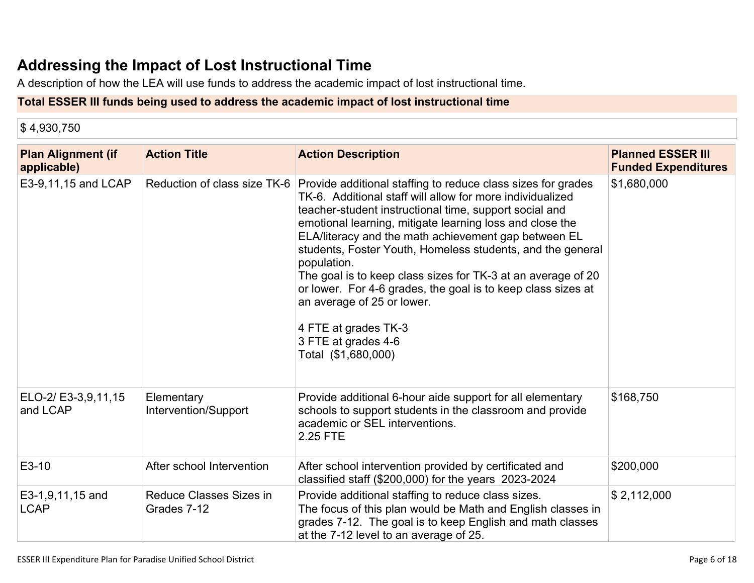## **Addressing the Impact of Lost [Instructional](#page-16-0) Tim[e](#page-16-0)**

A description of how the LEA will use funds to address the academic impact of lost instructional time.

### **Total ESSER III funds being used to address the academic impact of lost instructional time**

\$ 4,930,750

| <b>Plan Alignment (if</b><br>applicable) | <b>Action Title</b>                    | <b>Action Description</b>                                                                                                                                                                                                                                                                                                                                                                                                                                                                                                                                                                                                | <b>Planned ESSER III</b><br><b>Funded Expenditures</b> |
|------------------------------------------|----------------------------------------|--------------------------------------------------------------------------------------------------------------------------------------------------------------------------------------------------------------------------------------------------------------------------------------------------------------------------------------------------------------------------------------------------------------------------------------------------------------------------------------------------------------------------------------------------------------------------------------------------------------------------|--------------------------------------------------------|
| E3-9,11,15 and LCAP                      | Reduction of class size TK-6           | Provide additional staffing to reduce class sizes for grades<br>TK-6. Additional staff will allow for more individualized<br>teacher-student instructional time, support social and<br>emotional learning, mitigate learning loss and close the<br>ELA/literacy and the math achievement gap between EL<br>students, Foster Youth, Homeless students, and the general<br>population.<br>The goal is to keep class sizes for TK-3 at an average of 20<br>or lower. For 4-6 grades, the goal is to keep class sizes at<br>an average of 25 or lower.<br>4 FTE at grades TK-3<br>3 FTE at grades 4-6<br>Total (\$1,680,000) | \$1,680,000                                            |
| ELO-2/ E3-3,9,11,15<br>and LCAP          | Elementary<br>Intervention/Support     | Provide additional 6-hour aide support for all elementary<br>schools to support students in the classroom and provide<br>academic or SEL interventions.<br>2.25 FTE                                                                                                                                                                                                                                                                                                                                                                                                                                                      | \$168,750                                              |
| E3-10                                    | After school Intervention              | After school intervention provided by certificated and<br>classified staff $(\$200,000)$ for the years $2023-2024$                                                                                                                                                                                                                                                                                                                                                                                                                                                                                                       | \$200,000                                              |
| E3-1,9,11,15 and<br><b>LCAP</b>          | Reduce Classes Sizes in<br>Grades 7-12 | Provide additional staffing to reduce class sizes.<br>The focus of this plan would be Math and English classes in<br>grades 7-12. The goal is to keep English and math classes<br>at the 7-12 level to an average of 25.                                                                                                                                                                                                                                                                                                                                                                                                 | \$2,112,000                                            |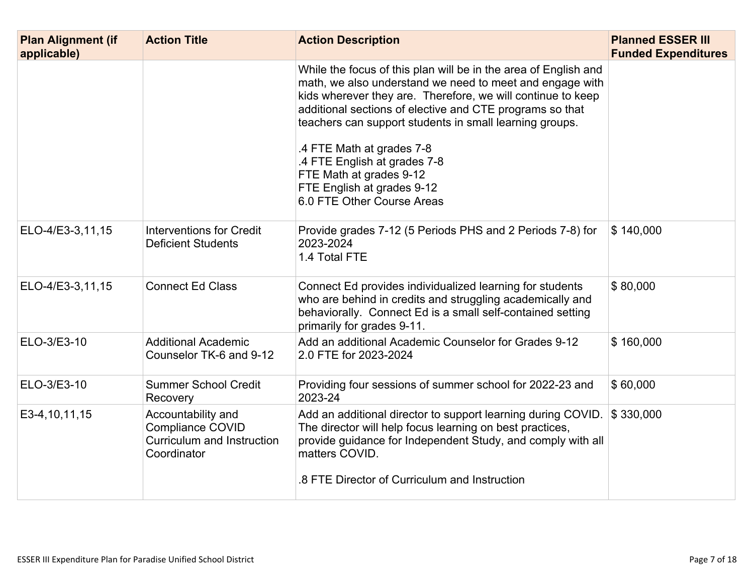| <b>Plan Alignment (if</b><br>applicable) | <b>Action Title</b>                                                                        | <b>Action Description</b>                                                                                                                                                                                                                                                                                                                                                                                                                                             | <b>Planned ESSER III</b><br><b>Funded Expenditures</b> |
|------------------------------------------|--------------------------------------------------------------------------------------------|-----------------------------------------------------------------------------------------------------------------------------------------------------------------------------------------------------------------------------------------------------------------------------------------------------------------------------------------------------------------------------------------------------------------------------------------------------------------------|--------------------------------------------------------|
|                                          |                                                                                            | While the focus of this plan will be in the area of English and<br>math, we also understand we need to meet and engage with<br>kids wherever they are. Therefore, we will continue to keep<br>additional sections of elective and CTE programs so that<br>teachers can support students in small learning groups.<br>.4 FTE Math at grades 7-8<br>.4 FTE English at grades 7-8<br>FTE Math at grades 9-12<br>FTE English at grades 9-12<br>6.0 FTE Other Course Areas |                                                        |
| ELO-4/E3-3,11,15                         | <b>Interventions for Credit</b><br><b>Deficient Students</b>                               | Provide grades 7-12 (5 Periods PHS and 2 Periods 7-8) for<br>2023-2024<br>1.4 Total FTE                                                                                                                                                                                                                                                                                                                                                                               | \$140,000                                              |
| ELO-4/E3-3,11,15                         | <b>Connect Ed Class</b>                                                                    | Connect Ed provides individualized learning for students<br>who are behind in credits and struggling academically and<br>behaviorally. Connect Ed is a small self-contained setting<br>primarily for grades 9-11.                                                                                                                                                                                                                                                     | \$80,000                                               |
| ELO-3/E3-10                              | <b>Additional Academic</b><br>Counselor TK-6 and 9-12                                      | Add an additional Academic Counselor for Grades 9-12<br>2.0 FTE for 2023-2024                                                                                                                                                                                                                                                                                                                                                                                         | \$160,000                                              |
| ELO-3/E3-10                              | <b>Summer School Credit</b><br>Recovery                                                    | Providing four sessions of summer school for 2022-23 and<br>2023-24                                                                                                                                                                                                                                                                                                                                                                                                   | \$60,000                                               |
| E3-4, 10, 11, 15                         | Accountability and<br><b>Compliance COVID</b><br>Curriculum and Instruction<br>Coordinator | Add an additional director to support learning during COVID.<br>The director will help focus learning on best practices,<br>provide guidance for Independent Study, and comply with all<br>matters COVID.<br>.8 FTE Director of Curriculum and Instruction                                                                                                                                                                                                            | \$330,000                                              |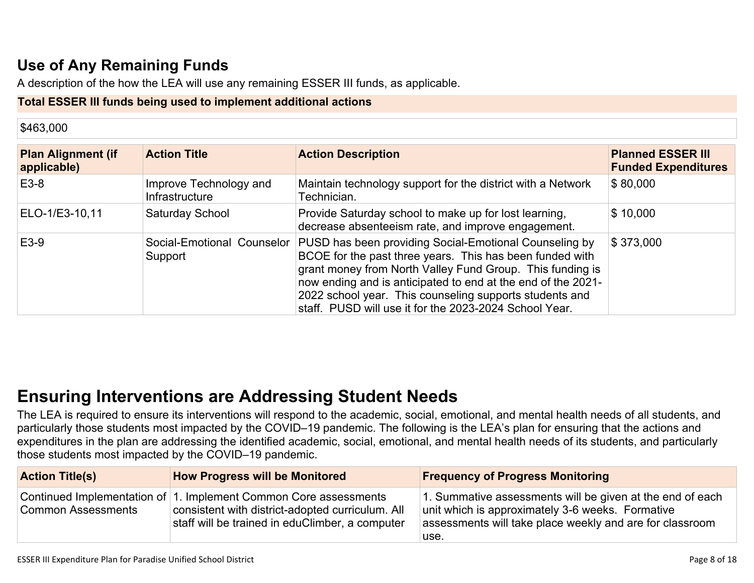## **Use of Any [Remaining](#page-16-1) Fund[s](#page-16-1)**

A description of the how the LEA will use any remaining ESSER III funds, as applicable.

#### **Total ESSER III funds being used to implement additional actions**

| \$463,000                                |                                          |                                                                                                                                                                                                                                                                                                                                                                      |                                                        |
|------------------------------------------|------------------------------------------|----------------------------------------------------------------------------------------------------------------------------------------------------------------------------------------------------------------------------------------------------------------------------------------------------------------------------------------------------------------------|--------------------------------------------------------|
| <b>Plan Alignment (if</b><br>applicable) | <b>Action Title</b>                      | <b>Action Description</b>                                                                                                                                                                                                                                                                                                                                            | <b>Planned ESSER III</b><br><b>Funded Expenditures</b> |
| E3-8                                     | Improve Technology and<br>Infrastructure | Maintain technology support for the district with a Network<br>Technician.                                                                                                                                                                                                                                                                                           | \$80,000                                               |
| ELO-1/E3-10,11                           | Saturday School                          | Provide Saturday school to make up for lost learning,<br>decrease absenteeism rate, and improve engagement.                                                                                                                                                                                                                                                          | \$10,000                                               |
| E3-9                                     | Social-Emotional Counselor<br>Support    | PUSD has been providing Social-Emotional Counseling by<br>BCOE for the past three years. This has been funded with<br>grant money from North Valley Fund Group. This funding is<br>now ending and is anticipated to end at the end of the 2021-<br>2022 school year. This counseling supports students and<br>staff. PUSD will use it for the 2023-2024 School Year. | \$373,000                                              |

## **Ensuring [Interventions](#page-16-2) are Addressing Student Need[s](#page-16-2)**

The LEA is required to ensure its interventions will respond to the academic, social, emotional, and mental health needs of all students, and particularly those students most impacted by the COVID–19 pandemic. The following is the LEA's plan for ensuring that the actions and expenditures in the plan are addressing the identified academic, social, emotional, and mental health needs of its students, and particularly those students most impacted by the COVID–19 pandemic.

| <b>Action Title(s)</b>    | <b>How Progress will be Monitored</b>                                                                                                                                   | <b>Frequency of Progress Monitoring</b>                                                                                                                                           |
|---------------------------|-------------------------------------------------------------------------------------------------------------------------------------------------------------------------|-----------------------------------------------------------------------------------------------------------------------------------------------------------------------------------|
| <b>Common Assessments</b> | Continued Implementation of 1. Implement Common Core assessments<br>consistent with district-adopted curriculum. All<br>staff will be trained in eduClimber, a computer | 1. Summative assessments will be given at the end of each<br>unit which is approximately 3-6 weeks. Formative<br>assessments will take place weekly and are for classroom<br>use. |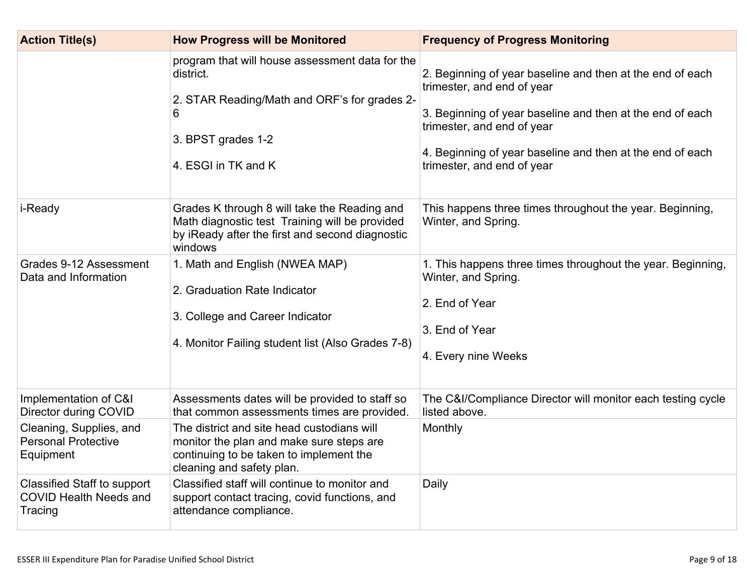| <b>Action Title(s)</b>                                                         | <b>How Progress will be Monitored</b>                                                                                                                          | <b>Frequency of Progress Monitoring</b>                                                                                                                                                                                                                                       |
|--------------------------------------------------------------------------------|----------------------------------------------------------------------------------------------------------------------------------------------------------------|-------------------------------------------------------------------------------------------------------------------------------------------------------------------------------------------------------------------------------------------------------------------------------|
|                                                                                | program that will house assessment data for the<br>district.<br>2. STAR Reading/Math and ORF's for grades 2-<br>6<br>3. BPST grades 1-2<br>4. ESGI in TK and K | 2. Beginning of year baseline and then at the end of each<br>trimester, and end of year<br>3. Beginning of year baseline and then at the end of each<br>trimester, and end of year<br>4. Beginning of year baseline and then at the end of each<br>trimester, and end of year |
| i-Ready                                                                        | Grades K through 8 will take the Reading and<br>Math diagnostic test Training will be provided<br>by iReady after the first and second diagnostic<br>windows   | This happens three times throughout the year. Beginning,<br>Winter, and Spring.                                                                                                                                                                                               |
| Grades 9-12 Assessment<br>Data and Information                                 | 1. Math and English (NWEA MAP)<br>2. Graduation Rate Indicator<br>3. College and Career Indicator<br>4. Monitor Failing student list (Also Grades 7-8)         | 1. This happens three times throughout the year. Beginning,<br>Winter, and Spring.<br>2. End of Year<br>3. End of Year<br>4. Every nine Weeks                                                                                                                                 |
| Implementation of C&I<br>Director during COVID                                 | Assessments dates will be provided to staff so<br>that common assessments times are provided.                                                                  | The C&I/Compliance Director will monitor each testing cycle<br>listed above.                                                                                                                                                                                                  |
| Cleaning, Supplies, and<br><b>Personal Protective</b><br>Equipment             | The district and site head custodians will<br>monitor the plan and make sure steps are<br>continuing to be taken to implement the<br>cleaning and safety plan. | Monthly                                                                                                                                                                                                                                                                       |
| <b>Classified Staff to support</b><br><b>COVID Health Needs and</b><br>Tracing | Classified staff will continue to monitor and<br>support contact tracing, covid functions, and<br>attendance compliance.                                       | Daily                                                                                                                                                                                                                                                                         |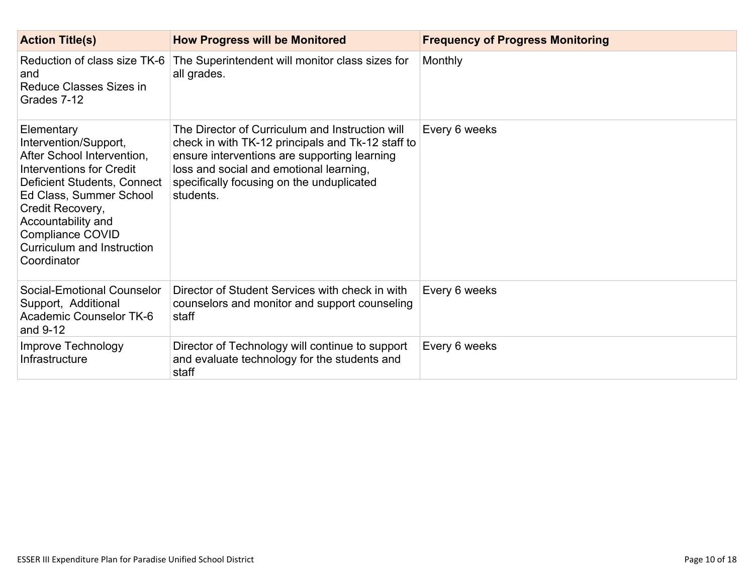| <b>Action Title(s)</b>                                                                                                                                                                                                                                             | <b>How Progress will be Monitored</b>                                                                                                                                                                                                                     | <b>Frequency of Progress Monitoring</b> |
|--------------------------------------------------------------------------------------------------------------------------------------------------------------------------------------------------------------------------------------------------------------------|-----------------------------------------------------------------------------------------------------------------------------------------------------------------------------------------------------------------------------------------------------------|-----------------------------------------|
| Reduction of class size TK-6<br>and<br>Reduce Classes Sizes in<br>Grades 7-12                                                                                                                                                                                      | The Superintendent will monitor class sizes for<br>all grades.                                                                                                                                                                                            | Monthly                                 |
| Elementary<br>Intervention/Support,<br>After School Intervention,<br>Interventions for Credit<br>Deficient Students, Connect<br>Ed Class, Summer School<br>Credit Recovery,<br>Accountability and<br>Compliance COVID<br>Curriculum and Instruction<br>Coordinator | The Director of Curriculum and Instruction will<br>check in with TK-12 principals and Tk-12 staff to<br>ensure interventions are supporting learning<br>loss and social and emotional learning,<br>specifically focusing on the unduplicated<br>students. | Every 6 weeks                           |
| Social-Emotional Counselor<br>Support, Additional<br>Academic Counselor TK-6<br>and 9-12                                                                                                                                                                           | Director of Student Services with check in with<br>counselors and monitor and support counseling<br>staff                                                                                                                                                 | Every 6 weeks                           |
| Improve Technology<br>Infrastructure                                                                                                                                                                                                                               | Director of Technology will continue to support<br>and evaluate technology for the students and<br>staff                                                                                                                                                  | Every 6 weeks                           |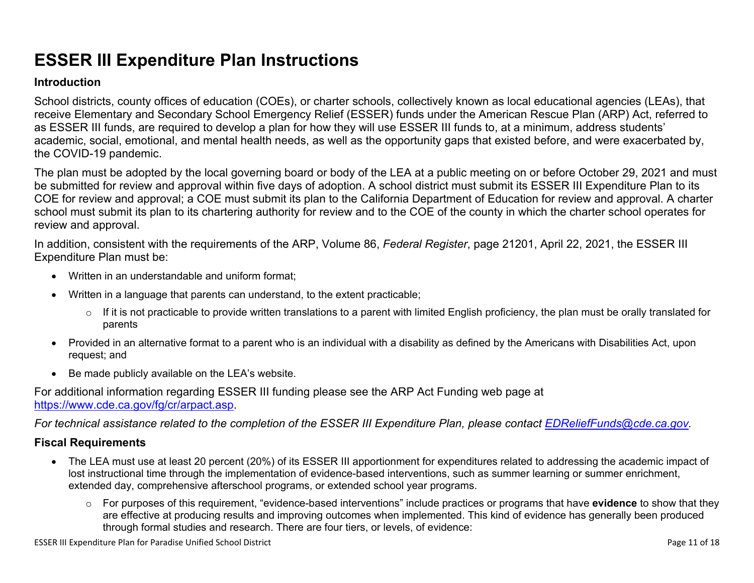# **ESSER III Expenditure Plan Instructions**

#### **Introduction**

School districts, county offices of education (COEs), or charter schools, collectively known as local educational agencies (LEAs), that receive Elementary and Secondary School Emergency Relief (ESSER) funds under the American Rescue Plan (ARP) Act, referred to as ESSER III funds, are required to develop a plan for how they will use ESSER III funds to, at a minimum, address students' academic, social, emotional, and mental health needs, as well as the opportunity gaps that existed before, and were exacerbated by, the COVID-19 pandemic.

The plan must be adopted by the local governing board or body of the LEA at a public meeting on or before October 29, 2021 and must be submitted for review and approval within five days of adoption. A school district must submit its ESSER III Expenditure Plan to its COE for review and approval; a COE must submit its plan to the California Department of Education for review and approval. A charter school must submit its plan to its chartering authority for review and to the COE of the county in which the charter school operates for review and approval.

In addition, consistent with the requirements of the ARP, Volume 86, *Federal Register*, page 21201, April 22, 2021, the ESSER III Expenditure Plan must be:

- Written in an understandable and uniform format;
- Written in a language that parents can understand, to the extent practicable;
	- $\circ$  If it is not practicable to provide written translations to a parent with limited English proficiency, the plan must be orally translated for parents
- Provided in an alternative format to a parent who is an individual with a disability as defined by the Americans with Disabilities Act, upon request; and
- Be made publicly available on the LEA's website.

For additional information regarding ESSER III funding please see the ARP Act Funding web page at <https://www.cde.ca.gov/fg/cr/arpact.asp>.

For technical assistance related to the completion of the ESSER III Expenditure Plan, please contact [EDReliefFunds@cde.ca.gov](mailto:EDReliefFunds@cde.ca.gov).

#### **Fiscal Requirements**

- The LEA must use at least 20 percent (20%) of its ESSER III apportionment for expenditures related to addressing the academic impact of lost instructional time through the implementation of evidence-based interventions, such as summer learning or summer enrichment, extended day, comprehensive afterschool programs, or extended school year programs.
	- o For purposes of this requirement, "evidence-based interventions" include practices or programs that have **evidence** to show that they are effective at producing results and improving outcomes when implemented. This kind of evidence has generally been produced through formal studies and research. There are four tiers, or levels, of evidence: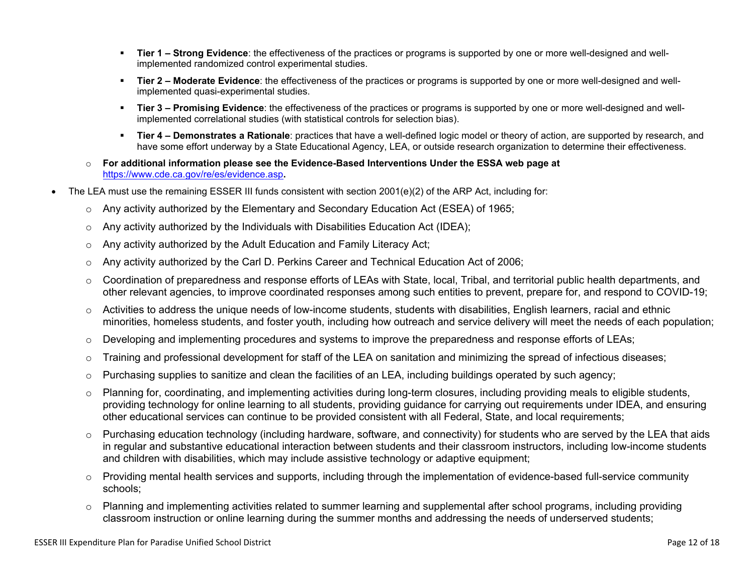- **Tier 1 – Strong Evidence**: the effectiveness of the practices or programs is supported by one or more well-designed and wellimplemented randomized control experimental studies.
- **Tier 2 – Moderate Evidence**: the effectiveness of the practices or programs is supported by one or more well-designed and wellimplemented quasi-experimental studies.
- **Tier 3 – Promising Evidence**: the effectiveness of the practices or programs is supported by one or more well-designed and wellimplemented correlational studies (with statistical controls for selection bias).
- **Tier 4 – Demonstrates a Rationale**: practices that have a well-defined logic model or theory of action, are supported by research, and have some effort underway by a State Educational Agency, LEA, or outside research organization to determine their effectiveness.
- o **For additional information please see the Evidence-Based Interventions Under the ESSA web page at** <https://www.cde.ca.gov/re/es/evidence.asp>**.**
- The LEA must use the remaining ESSER III funds consistent with section 2001(e)(2) of the ARP Act, including for:
	- $\circ$  Any activity authorized by the Elementary and Secondary Education Act (ESEA) of 1965;
	- $\circ$  Any activity authorized by the Individuals with Disabilities Education Act (IDEA);
	- o Any activity authorized by the Adult Education and Family Literacy Act;
	- $\circ$  Any activity authorized by the Carl D. Perkins Career and Technical Education Act of 2006;
	- $\circ$  Coordination of preparedness and response efforts of LEAs with State, local, Tribal, and territorial public health departments, and other relevant agencies, to improve coordinated responses among such entities to prevent, prepare for, and respond to COVID-19;
	- $\circ$  Activities to address the unique needs of low-income students, students with disabilities, English learners, racial and ethnic minorities, homeless students, and foster youth, including how outreach and service delivery will meet the needs of each population;
	- o Developing and implementing procedures and systems to improve the preparedness and response efforts of LEAs;
	- $\circ$  Training and professional development for staff of the LEA on sanitation and minimizing the spread of infectious diseases;
	- $\circ$  Purchasing supplies to sanitize and clean the facilities of an LEA, including buildings operated by such agency;
	- $\circ$  Planning for, coordinating, and implementing activities during long-term closures, including providing meals to eligible students, providing technology for online learning to all students, providing guidance for carrying out requirements under IDEA, and ensuring other educational services can continue to be provided consistent with all Federal, State, and local requirements;
	- $\circ$  Purchasing education technology (including hardware, software, and connectivity) for students who are served by the LEA that aids in regular and substantive educational interaction between students and their classroom instructors, including low-income students and children with disabilities, which may include assistive technology or adaptive equipment;
	- $\circ$  Providing mental health services and supports, including through the implementation of evidence-based full-service community schools;
	- o Planning and implementing activities related to summer learning and supplemental after school programs, including providing classroom instruction or online learning during the summer months and addressing the needs of underserved students;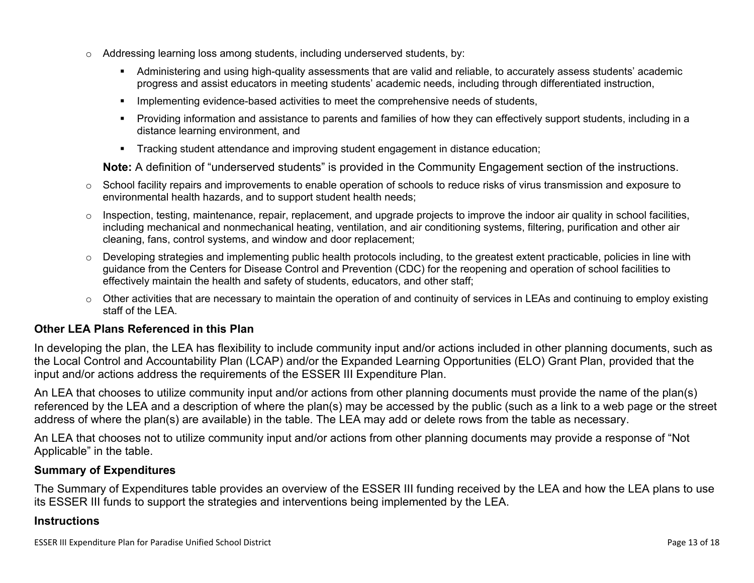- $\circ$  Addressing learning loss among students, including underserved students, by:
	- Administering and using high-quality assessments that are valid and reliable, to accurately assess students' academic progress and assist educators in meeting students' academic needs, including through differentiated instruction,
	- **IMPLEMENTER IMPLEMENT EVALUATE:** Implementing evidence-based activities to meet the comprehensive needs of students,
	- Providing information and assistance to parents and families of how they can effectively support students, including in a distance learning environment, and
	- Tracking student attendance and improving student engagement in distance education;

**Note:** A definition of "underserved students" is provided in the Community Engagement section of the instructions.

- $\circ$  School facility repairs and improvements to enable operation of schools to reduce risks of virus transmission and exposure to environmental health hazards, and to support student health needs;
- $\circ$  Inspection, testing, maintenance, repair, replacement, and upgrade projects to improve the indoor air quality in school facilities, including mechanical and nonmechanical heating, ventilation, and air conditioning systems, filtering, purification and other air cleaning, fans, control systems, and window and door replacement;
- $\circ$  Developing strategies and implementing public health protocols including, to the greatest extent practicable, policies in line with guidance from the Centers for Disease Control and Prevention (CDC) for the reopening and operation of school facilities to effectively maintain the health and safety of students, educators, and other staff;
- $\circ$  Other activities that are necessary to maintain the operation of and continuity of services in LEAs and continuing to employ existing staff of the LEA.

#### <span id="page-12-0"></span>**Other LEA Plans Referenced in this Plan**

In developing the plan, the LEA has flexibility to include community input and/or actions included in other planning documents, such as the Local Control and Accountability Plan (LCAP) and/or the Expanded Learning Opportunities (ELO) Grant Plan, provided that the input and/or actions address the requirements of the ESSER III Expenditure Plan.

An LEA that chooses to utilize community input and/or actions from other planning documents must provide the name of the plan(s) referenced by the LEA and a description of where the plan(s) may be accessed by the public (such as a link to a web page or the street address of where the plan(s) are available) in the table. The LEA may add or delete rows from the table as necessary.

An LEA that chooses not to utilize community input and/or actions from other planning documents may provide a response of "Not Applicable" in the table.

#### <span id="page-12-1"></span>**Summary of Expenditures**

The Summary of Expenditures table provides an overview of the ESSER III funding received by the LEA and how the LEA plans to use its ESSER III funds to support the strategies and interventions being implemented by the LEA.

#### **Instructions**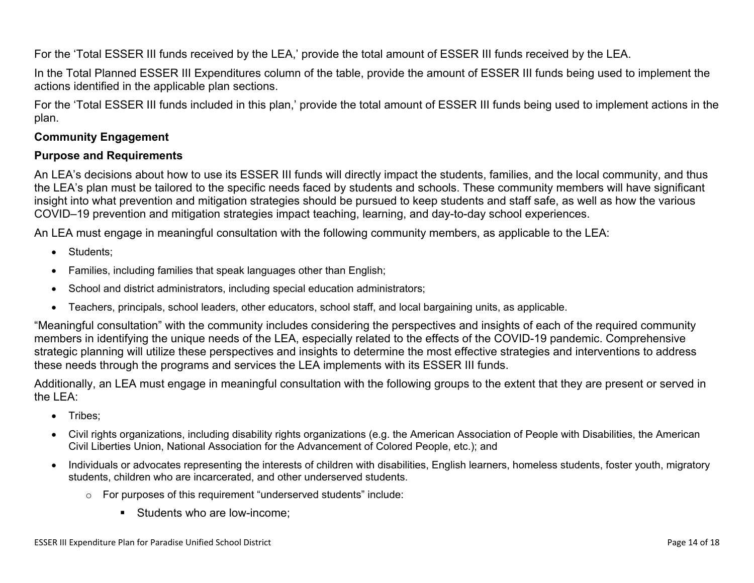For the 'Total ESSER III funds received by the LEA,' provide the total amount of ESSER III funds received by the LEA.

In the Total Planned ESSER III Expenditures column of the table, provide the amount of ESSER III funds being used to implement the actions identified in the applicable plan sections.

For the 'Total ESSER III funds included in this plan,' provide the total amount of ESSER III funds being used to implement actions in the plan.

#### <span id="page-13-0"></span>**Community Engagement**

#### **Purpose and Requirements**

An LEA's decisions about how to use its ESSER III funds will directly impact the students, families, and the local community, and thus the LEA's plan must be tailored to the specific needs faced by students and schools. These community members will have significant insight into what prevention and mitigation strategies should be pursued to keep students and staff safe, as well as how the various COVID–19 prevention and mitigation strategies impact teaching, learning, and day-to-day school experiences.

An LEA must engage in meaningful consultation with the following community members, as applicable to the LEA:

- Students:
- Families, including families that speak languages other than English;
- School and district administrators, including special education administrators;
- Teachers, principals, school leaders, other educators, school staff, and local bargaining units, as applicable.

"Meaningful consultation" with the community includes considering the perspectives and insights of each of the required community members in identifying the unique needs of the LEA, especially related to the effects of the COVID-19 pandemic. Comprehensive strategic planning will utilize these perspectives and insights to determine the most effective strategies and interventions to address these needs through the programs and services the LEA implements with its ESSER III funds.

Additionally, an LEA must engage in meaningful consultation with the following groups to the extent that they are present or served in the LEA:

- Tribes;
- Civil rights organizations, including disability rights organizations (e.g. the American Association of People with Disabilities, the American Civil Liberties Union, National Association for the Advancement of Colored People, etc.); and
- Individuals or advocates representing the interests of children with disabilities, English learners, homeless students, foster youth, migratory students, children who are incarcerated, and other underserved students.
	- o For purposes of this requirement "underserved students" include:
		- **Students who are low-income:**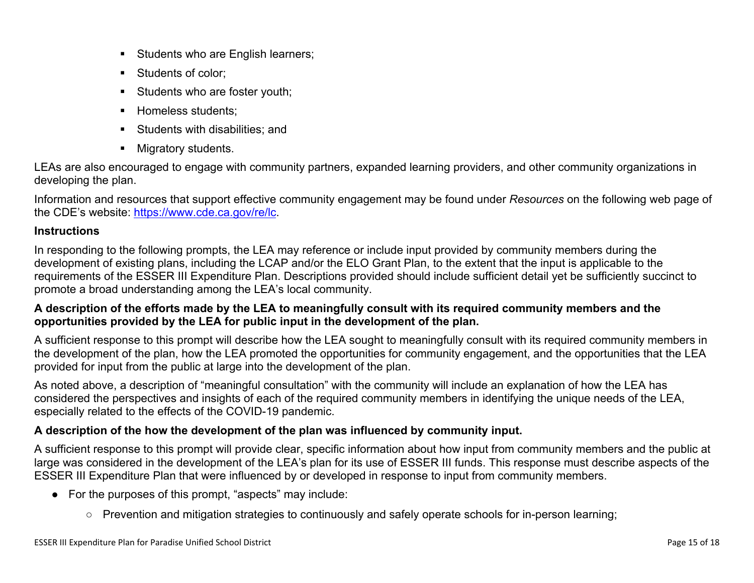- Students who are English learners;
- Students of color:
- Students who are foster youth;
- Homeless students;
- **Students with disabilities: and**
- **Migratory students.**

LEAs are also encouraged to engage with community partners, expanded learning providers, and other community organizations in developing the plan.

Information and resources that support effective community engagement may be found under *Resources* on the following web page of the CDE's website: <https://www.cde.ca.gov/re/lc>.

### **Instructions**

In responding to the following prompts, the LEA may reference or include input provided by community members during the development of existing plans, including the LCAP and/or the ELO Grant Plan, to the extent that the input is applicable to the requirements of the ESSER III Expenditure Plan. Descriptions provided should include sufficient detail yet be sufficiently succinct to promote a broad understanding among the LEA's local community.

### A description of the efforts made by the LEA to meaningfully consult with its required community members and the **opportunities provided by the LEA for public input in the development of the plan.**

A sufficient response to this prompt will describe how the LEA sought to meaningfully consult with its required community members in the development of the plan, how the LEA promoted the opportunities for community engagement, and the opportunities that the LEA provided for input from the public at large into the development of the plan.

As noted above, a description of "meaningful consultation" with the community will include an explanation of how the LEA has considered the perspectives and insights of each of the required community members in identifying the unique needs of the LEA, especially related to the effects of the COVID-19 pandemic.

### **A description of the how the development of the plan was influenced by community input.**

A sufficient response to this prompt will provide clear, specific information about how input from community members and the public at large was considered in the development of the LEA's plan for its use of ESSER III funds. This response must describe aspects of the ESSER III Expenditure Plan that were influenced by or developed in response to input from community members.

- For the purposes of this prompt, "aspects" may include:
	- Prevention and mitigation strategies to continuously and safely operate schools for in-person learning;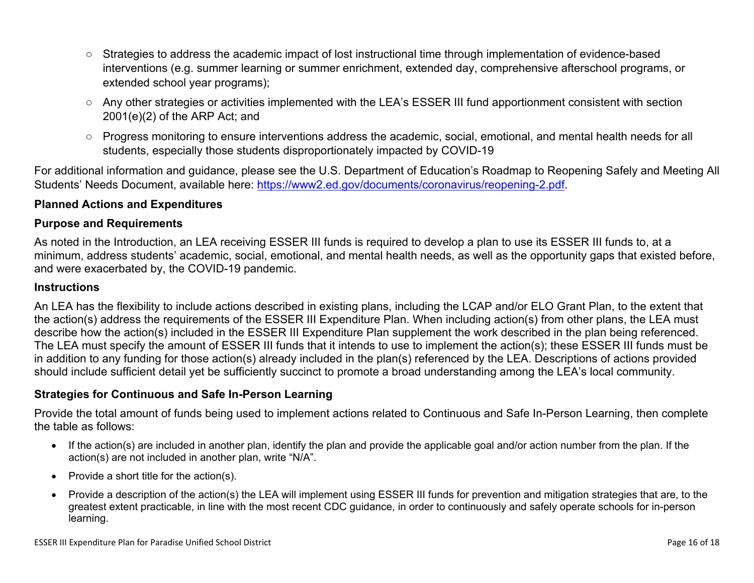- Strategies to address the academic impact of lost instructional time through implementation of evidence-based interventions (e.g. summer learning or summer enrichment, extended day, comprehensive afterschool programs, or extended school year programs);
- Any other strategies or activities implemented with the LEA's ESSER III fund apportionment consistent with section 2001(e)(2) of the ARP Act; and
- Progress monitoring to ensure interventions address the academic, social, emotional, and mental health needs for all students, especially those students disproportionately impacted by COVID-19

For additional information and guidance, please see the U.S. Department of Education's Roadmap to Reopening Safely and Meeting All Students' Needs Document, available here: [https://www2.ed.gov/documents/coronavirus/reopening-2.pdf.](https://www2.ed.gov/documents/coronavirus/reopening-2.pdf)

#### <span id="page-15-0"></span>**Planned Actions and Expenditures**

#### **Purpose and Requirements**

As noted in the Introduction, an LEA receiving ESSER III funds is required to develop a plan to use its ESSER III funds to, at a minimum, address students' academic, social, emotional, and mental health needs, as well as the opportunity gaps that existed before, and were exacerbated by, the COVID-19 pandemic.

#### **Instructions**

An LEA has the flexibility to include actions described in existing plans, including the LCAP and/or ELO Grant Plan, to the extent that the action(s) address the requirements of the ESSER III Expenditure Plan. When including action(s) from other plans, the LEA must describe how the action(s) included in the ESSER III Expenditure Plan supplement the work described in the plan being referenced. The LEA must specify the amount of ESSER III funds that it intends to use to implement the action(s); these ESSER III funds must be in addition to any funding for those action(s) already included in the plan(s) referenced by the LEA. Descriptions of actions provided should include sufficient detail yet be sufficiently succinct to promote a broad understanding among the LEA's local community.

#### <span id="page-15-1"></span>**Strategies for Continuous and Safe In-Person Learning**

Provide the total amount of funds being used to implement actions related to Continuous and Safe In-Person Learning, then complete the table as follows:

- If the action(s) are included in another plan, identify the plan and provide the applicable goal and/or action number from the plan. If the action(s) are not included in another plan, write "N/A".
- Provide a short title for the  $action(s)$ .
- Provide a description of the action(s) the LEA will implement using ESSER III funds for prevention and mitigation strategies that are, to the greatest extent practicable, in line with the most recent CDC guidance, in order to continuously and safely operate schools for in-person learning.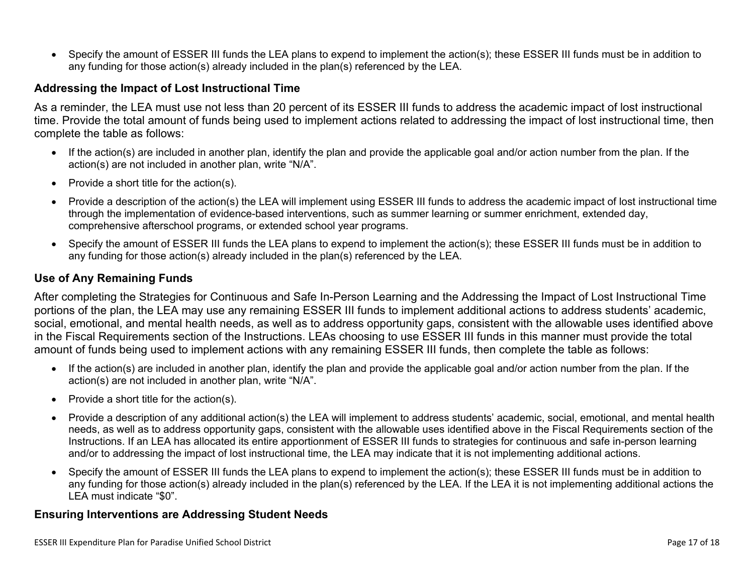Specify the amount of ESSER III funds the LEA plans to expend to implement the action(s); these ESSER III funds must be in addition to any funding for those action(s) already included in the plan(s) referenced by the LEA.

#### <span id="page-16-0"></span>**Addressing the Impact of Lost Instructional Time**

As a reminder, the LEA must use not less than 20 percent of its ESSER III funds to address the academic impact of lost instructional time. Provide the total amount of funds being used to implement actions related to addressing the impact of lost instructional time, then complete the table as follows:

- If the action(s) are included in another plan, identify the plan and provide the applicable goal and/or action number from the plan. If the action(s) are not included in another plan, write "N/A".
- Provide a short title for the  $action(s)$ .
- Provide a description of the action(s) the LEA will implement using ESSER III funds to address the academic impact of lost instructional time through the implementation of evidence-based interventions, such as summer learning or summer enrichment, extended day, comprehensive afterschool programs, or extended school year programs.
- Specify the amount of ESSER III funds the LEA plans to expend to implement the action(s); these ESSER III funds must be in addition to any funding for those action(s) already included in the plan(s) referenced by the LEA.

#### <span id="page-16-1"></span>**Use of Any Remaining Funds**

After completing the Strategies for Continuous and Safe In-Person Learning and the Addressing the Impact of Lost Instructional Time portions of the plan, the LEA may use any remaining ESSER III funds to implement additional actions to address students' academic, social, emotional, and mental health needs, as well as to address opportunity gaps, consistent with the allowable uses identified above in the Fiscal Requirements section of the Instructions. LEAs choosing to use ESSER III funds in this manner must provide the total amount of funds being used to implement actions with any remaining ESSER III funds, then complete the table as follows:

- If the action(s) are included in another plan, identify the plan and provide the applicable goal and/or action number from the plan. If the action(s) are not included in another plan, write "N/A".
- Provide a short title for the  $action(s)$ .
- Provide a description of any additional action(s) the LEA will implement to address students' academic, social, emotional, and mental health needs, as well as to address opportunity gaps, consistent with the allowable uses identified above in the Fiscal Requirements section of the Instructions. If an LEA has allocated its entire apportionment of ESSER III funds to strategies for continuous and safe in-person learning and/or to addressing the impact of lost instructional time, the LEA may indicate that it is not implementing additional actions.
- Specify the amount of ESSER III funds the LEA plans to expend to implement the action(s); these ESSER III funds must be in addition to any funding for those action(s) already included in the plan(s) referenced by the LEA. If the LEA it is not implementing additional actions the LEA must indicate "\$0".

#### <span id="page-16-2"></span>**Ensuring Interventions are Addressing Student Needs**